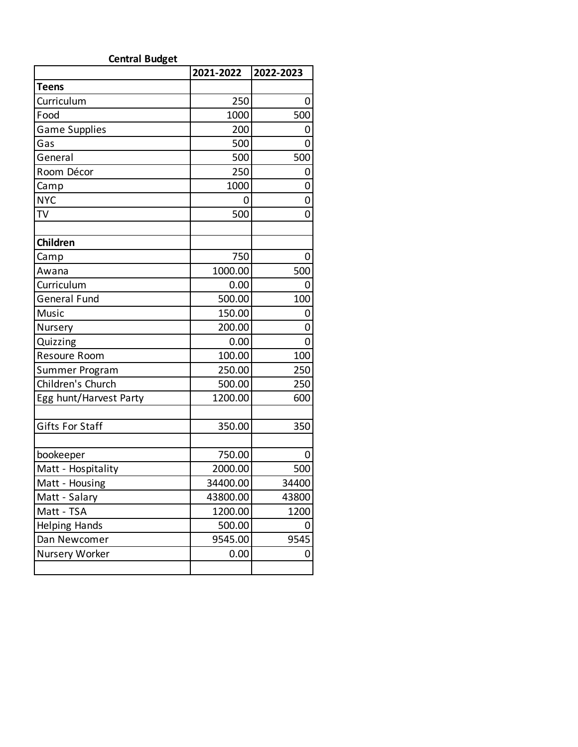| <b>Central Budget</b>  |           |           |  |
|------------------------|-----------|-----------|--|
|                        | 2021-2022 | 2022-2023 |  |
| <b>Teens</b>           |           |           |  |
| Curriculum             | 250       | 0         |  |
| Food                   | 1000      | 500       |  |
| <b>Game Supplies</b>   | 200       | 0         |  |
| Gas                    | 500       | 0         |  |
| General                | 500       | 500       |  |
| Room Décor             | 250       | 0         |  |
| Camp                   | 1000      | 0         |  |
| <b>NYC</b>             | 0         | 0         |  |
| TV                     | 500       | 0         |  |
|                        |           |           |  |
| Children               |           |           |  |
| Camp                   | 750       | 0         |  |
| Awana                  | 1000.00   | 500       |  |
| Curriculum             | 0.00      | 0         |  |
| <b>General Fund</b>    | 500.00    | 100       |  |
| Music                  | 150.00    | 0         |  |
| Nursery                | 200.00    | 0         |  |
| Quizzing               | 0.00      | 0         |  |
| Resoure Room           | 100.00    | 100       |  |
| Summer Program         | 250.00    | 250       |  |
| Children's Church      | 500.00    | 250       |  |
| Egg hunt/Harvest Party | 1200.00   | 600       |  |
|                        |           |           |  |
| <b>Gifts For Staff</b> | 350.00    | 350       |  |
|                        |           |           |  |
| bookeeper              | 750.00    |           |  |
| Matt - Hospitality     | 2000.00   | 500       |  |
| Matt - Housing         | 34400.00  | 34400     |  |
| Matt - Salary          | 43800.00  | 43800     |  |
| Matt - TSA             | 1200.00   | 1200      |  |
| Helping Hands          | 500.00    | O         |  |
| Dan Newcomer           | 9545.00   | 9545      |  |
| Nursery Worker         | 0.00      | 0         |  |
|                        |           |           |  |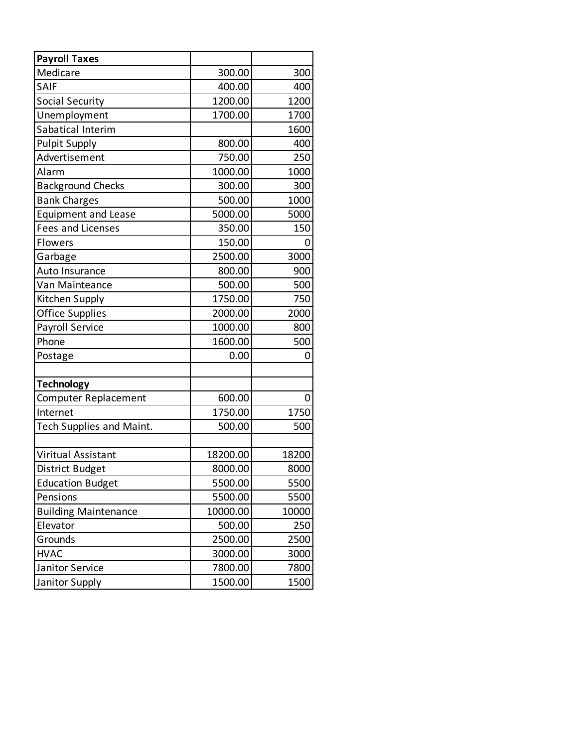| <b>Payroll Taxes</b>        |          |       |
|-----------------------------|----------|-------|
| Medicare                    | 300.00   | 300   |
| SAIF                        | 400.00   | 400   |
| <b>Social Security</b>      | 1200.00  | 1200  |
| Unemployment                | 1700.00  | 1700  |
| Sabatical Interim           |          | 1600  |
| <b>Pulpit Supply</b>        | 800.00   | 400   |
| Advertisement               | 750.00   | 250   |
| Alarm                       | 1000.00  | 1000  |
| <b>Background Checks</b>    | 300.00   | 300   |
| <b>Bank Charges</b>         | 500.00   | 1000  |
| <b>Equipment and Lease</b>  | 5000.00  | 5000  |
| <b>Fees and Licenses</b>    | 350.00   | 150   |
| Flowers                     | 150.00   |       |
| Garbage                     | 2500.00  | 3000  |
| Auto Insurance              | 800.00   | 900   |
| Van Mainteance              | 500.00   | 500   |
| Kitchen Supply              | 1750.00  | 750   |
| <b>Office Supplies</b>      | 2000.00  | 2000  |
| Payroll Service             | 1000.00  | 800   |
| Phone                       | 1600.00  | 500   |
| Postage                     | 0.00     | 0     |
| <b>Technology</b>           |          |       |
| <b>Computer Replacement</b> | 600.00   | O)    |
| Internet                    | 1750.00  | 1750  |
| Tech Supplies and Maint.    | 500.00   | 500   |
|                             |          |       |
| Viritual Assistant          | 18200.00 | 18200 |
| District Budget             | 8000.00  | 8000  |
| <b>Education Budget</b>     | 5500.00  | 5500  |
| Pensions                    | 5500.00  | 5500  |
| <b>Building Maintenance</b> | 10000.00 | 10000 |
| Elevator                    | 500.00   | 250   |
| Grounds                     | 2500.00  | 2500  |
| <b>HVAC</b>                 | 3000.00  | 3000  |
| Janitor Service             | 7800.00  | 7800  |
| Janitor Supply              | 1500.00  | 1500  |